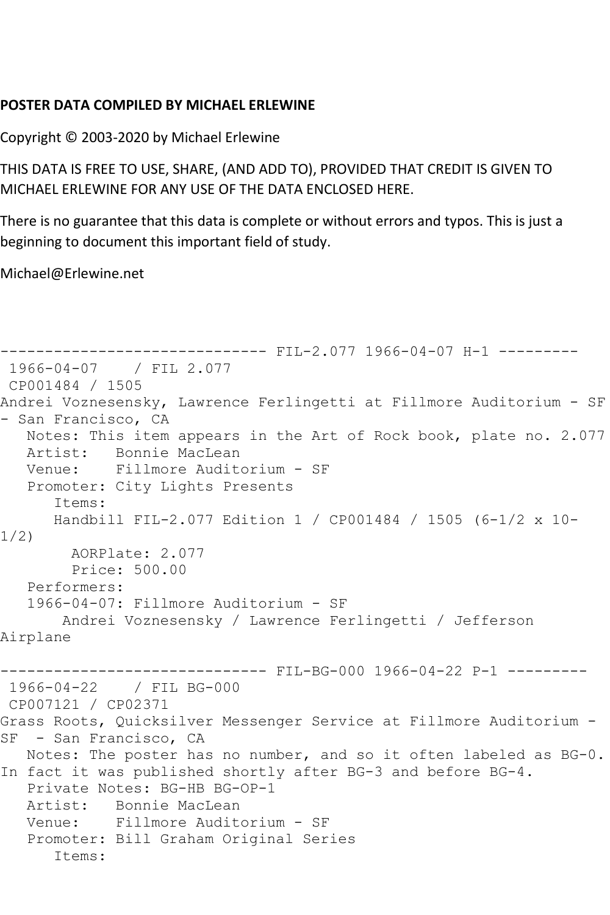## **POSTER DATA COMPILED BY MICHAEL ERLEWINE**

Copyright © 2003-2020 by Michael Erlewine

THIS DATA IS FREE TO USE, SHARE, (AND ADD TO), PROVIDED THAT CREDIT IS GIVEN TO MICHAEL ERLEWINE FOR ANY USE OF THE DATA ENCLOSED HERE.

There is no guarantee that this data is complete or without errors and typos. This is just a beginning to document this important field of study.

Michael@Erlewine.net

```
------------------------------ FIL-2.077 1966-04-07 H-1 ---------
1966-04-07 / FIL 2.077
CP001484 / 1505
Andrei Voznesensky, Lawrence Ferlingetti at Fillmore Auditorium - SF 
- San Francisco, CA
   Notes: This item appears in the Art of Rock book, plate no. 2.077
   Artist: Bonnie MacLean
   Venue: Fillmore Auditorium - SF
   Promoter: City Lights Presents
      Items:
      Handbill FIL-2.077 Edition 1 / CP001484 / 1505 (6-1/2 x 10-
1/2)
        AORPlate: 2.077 
        Price: 500.00
   Performers:
   1966-04-07: Fillmore Auditorium - SF
       Andrei Voznesensky / Lawrence Ferlingetti / Jefferson 
Airplane
------------------------------ FIL-BG-000 1966-04-22 P-1 ---------
1966-04-22 / FIL BG-000
CP007121 / CP02371
Grass Roots, Quicksilver Messenger Service at Fillmore Auditorium -
SF - San Francisco, CA
   Notes: The poster has no number, and so it often labeled as BG-0. 
In fact it was published shortly after BG-3 and before BG-4.
   Private Notes: BG-HB BG-OP-1
   Artist: Bonnie MacLean
   Venue: Fillmore Auditorium - SF
   Promoter: Bill Graham Original Series
      Items:
```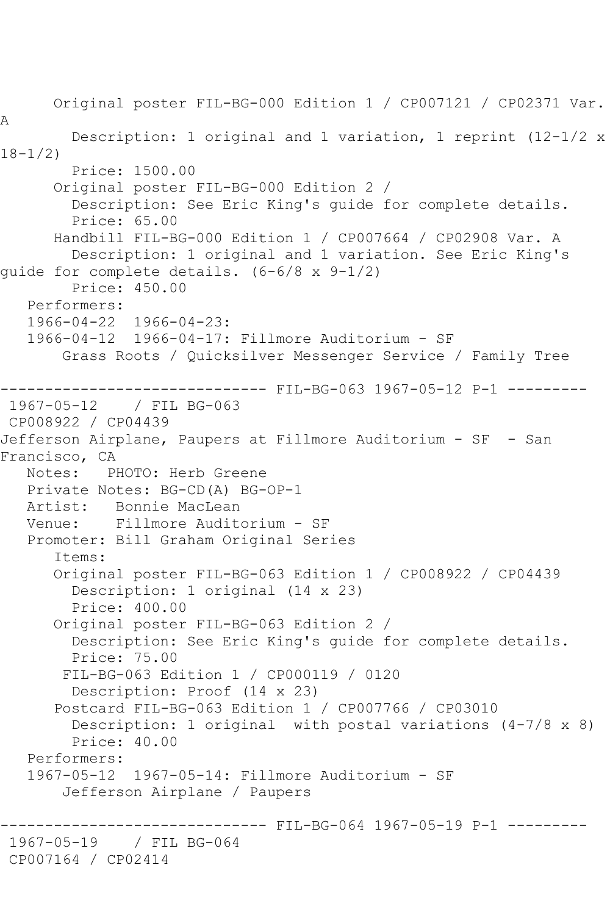Original poster FIL-BG-000 Edition 1 / CP007121 / CP02371 Var. A Description: 1 original and 1 variation, 1 reprint (12-1/2 x 18-1/2) Price: 1500.00 Original poster FIL-BG-000 Edition 2 / Description: See Eric King's guide for complete details. Price: 65.00 Handbill FIL-BG-000 Edition 1 / CP007664 / CP02908 Var. A Description: 1 original and 1 variation. See Eric King's guide for complete details. (6-6/8 x 9-1/2) Price: 450.00 Performers: 1966-04-22 1966-04-23: 1966-04-12 1966-04-17: Fillmore Auditorium - SF Grass Roots / Quicksilver Messenger Service / Family Tree ------------------------------ FIL-BG-063 1967-05-12 P-1 --------- 1967-05-12 / FIL BG-063 CP008922 / CP04439 Jefferson Airplane, Paupers at Fillmore Auditorium - SF - San Francisco, CA Notes: PHOTO: Herb Greene Private Notes: BG-CD(A) BG-OP-1<br>Artist: Bonnie MacLean Artist: Bonnie MacLean<br>Venue: Fillmore Audit Fillmore Auditorium - SF Promoter: Bill Graham Original Series Items: Original poster FIL-BG-063 Edition 1 / CP008922 / CP04439 Description: 1 original (14 x 23) Price: 400.00 Original poster FIL-BG-063 Edition 2 / Description: See Eric King's guide for complete details. Price: 75.00 FIL-BG-063 Edition 1 / CP000119 / 0120 Description: Proof (14 x 23) Postcard FIL-BG-063 Edition 1 / CP007766 / CP03010 Description: 1 original with postal variations (4-7/8 x 8) Price: 40.00 Performers: 1967-05-12 1967-05-14: Fillmore Auditorium - SF Jefferson Airplane / Paupers ------------------------------ FIL-BG-064 1967-05-19 P-1 ----------<br>1967-05-19 / FIL BG-064 1967-05-19 / FIL BG-064 CP007164 / CP02414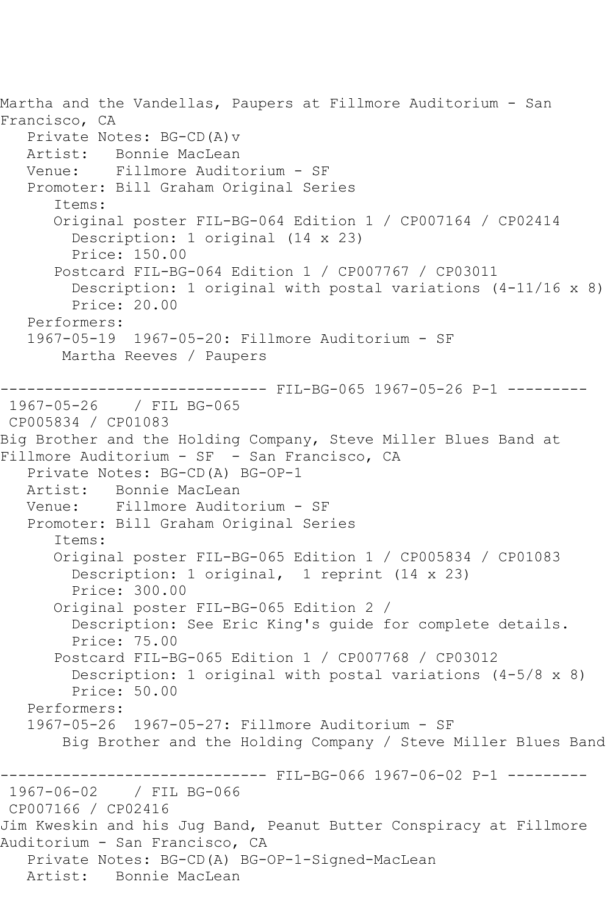Martha and the Vandellas, Paupers at Fillmore Auditorium - San Francisco, CA Private Notes: BG-CD(A)v Artist: Bonnie MacLean<br>Venue: Fillmore Audit Fillmore Auditorium - SF Promoter: Bill Graham Original Series Items: Original poster FIL-BG-064 Edition 1 / CP007164 / CP02414 Description: 1 original (14 x 23) Price: 150.00 Postcard FIL-BG-064 Edition 1 / CP007767 / CP03011 Description: 1 original with postal variations  $(4-11/16 \times 8)$  Price: 20.00 Performers: 1967-05-19 1967-05-20: Fillmore Auditorium - SF Martha Reeves / Paupers ------------------------------ FIL-BG-065 1967-05-26 P-1 --------- 1967-05-26 / FIL BG-065 CP005834 / CP01083 Big Brother and the Holding Company, Steve Miller Blues Band at Fillmore Auditorium - SF - San Francisco, CA Private Notes: BG-CD(A) BG-OP-1 Artist: Bonnie MacLean Venue: Fillmore Auditorium - SF Promoter: Bill Graham Original Series Items: Original poster FIL-BG-065 Edition 1 / CP005834 / CP01083 Description: 1 original, 1 reprint (14 x 23) Price: 300.00 Original poster FIL-BG-065 Edition 2 / Description: See Eric King's guide for complete details. Price: 75.00 Postcard FIL-BG-065 Edition 1 / CP007768 / CP03012 Description: 1 original with postal variations (4-5/8 x 8) Price: 50.00 Performers: 1967-05-26 1967-05-27: Fillmore Auditorium - SF Big Brother and the Holding Company / Steve Miller Blues Band ------------------------------ FIL-BG-066 1967-06-02 P-1 --------- 1967-06-02 / FIL BG-066 CP007166 / CP02416 Jim Kweskin and his Jug Band, Peanut Butter Conspiracy at Fillmore Auditorium - San Francisco, CA Private Notes: BG-CD(A) BG-OP-1-Signed-MacLean Artist: Bonnie MacLean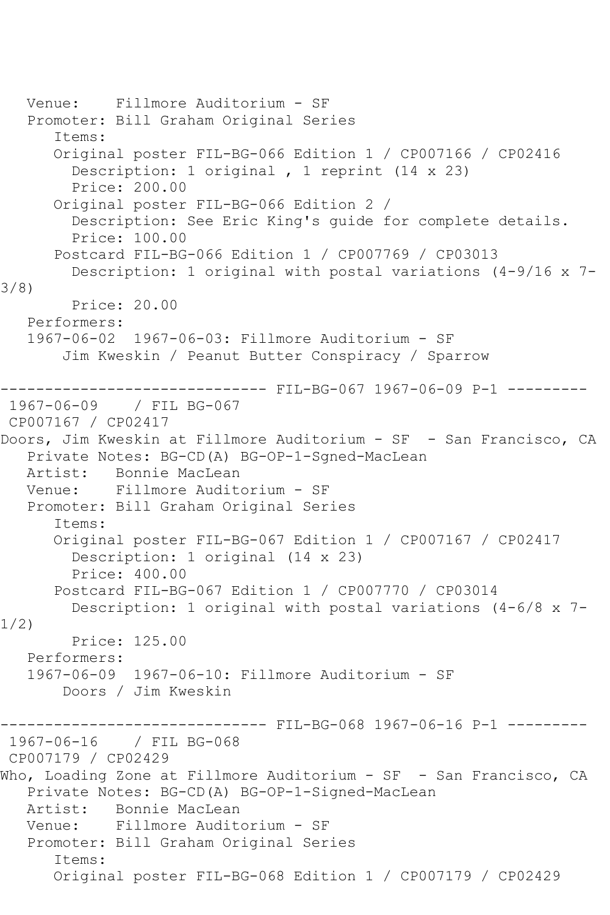```
 Venue: Fillmore Auditorium - SF
   Promoter: Bill Graham Original Series
       Items:
       Original poster FIL-BG-066 Edition 1 / CP007166 / CP02416
         Description: 1 original , 1 reprint (14 x 23)
         Price: 200.00
       Original poster FIL-BG-066 Edition 2 / 
         Description: See Eric King's guide for complete details.
         Price: 100.00
       Postcard FIL-BG-066 Edition 1 / CP007769 / CP03013
         Description: 1 original with postal variations (4-9/16 x 7-
3/8)
         Price: 20.00
   Performers:
   1967-06-02 1967-06-03: Fillmore Auditorium - SF
        Jim Kweskin / Peanut Butter Conspiracy / Sparrow
                   ------------------------------ FIL-BG-067 1967-06-09 P-1 ---------
1967-06-09 / FIL BG-067
CP007167 / CP02417
Doors, Jim Kweskin at Fillmore Auditorium - SF - San Francisco, CA
   Private Notes: BG-CD(A) BG-OP-1-Sgned-MacLean
   Artist: Bonnie MacLean
   Venue: Fillmore Auditorium - SF
   Promoter: Bill Graham Original Series
       Items:
       Original poster FIL-BG-067 Edition 1 / CP007167 / CP02417
         Description: 1 original (14 x 23)
         Price: 400.00
       Postcard FIL-BG-067 Edition 1 / CP007770 / CP03014
         Description: 1 original with postal variations (4-6/8 x 7-
1/2)
         Price: 125.00
   Performers:
   1967-06-09 1967-06-10: Fillmore Auditorium - SF
        Doors / Jim Kweskin
                       -------- FIL-BG-068 1967-06-16 P-1 ---------
1967-06-16 / FIL BG-068
CP007179 / CP02429
Who, Loading Zone at Fillmore Auditorium - SF - San Francisco, CA
   Private Notes: BG-CD(A) BG-OP-1-Signed-MacLean
   Artist: Bonnie MacLean
   Venue: Fillmore Auditorium - SF
   Promoter: Bill Graham Original Series
       Items:
       Original poster FIL-BG-068 Edition 1 / CP007179 / CP02429
```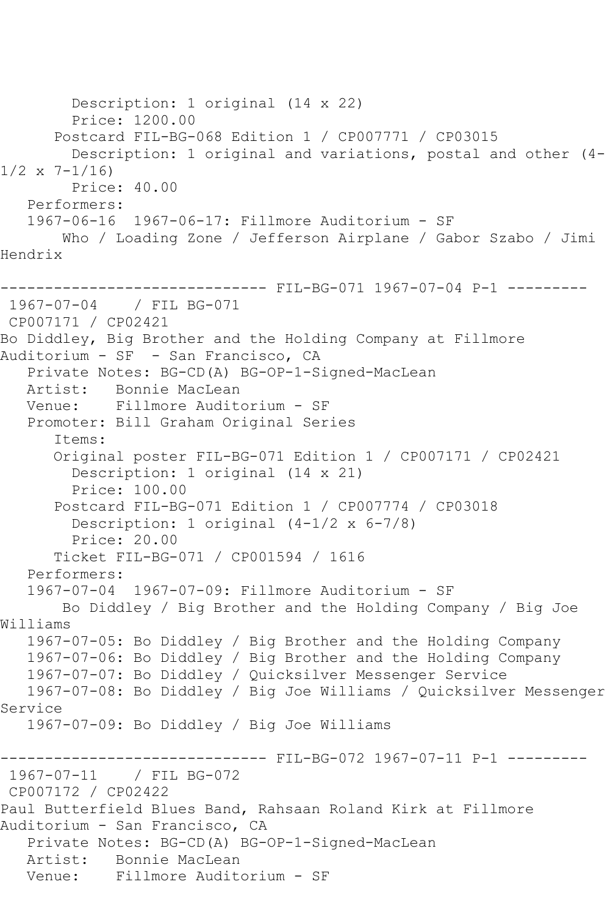Description: 1 original (14 x 22) Price: 1200.00 Postcard FIL-BG-068 Edition 1 / CP007771 / CP03015 Description: 1 original and variations, postal and other (4-  $1/2 \times 7 - 1/16$  Price: 40.00 Performers: 1967-06-16 1967-06-17: Fillmore Auditorium - SF Who / Loading Zone / Jefferson Airplane / Gabor Szabo / Jimi Hendrix ------------------------------ FIL-BG-071 1967-07-04 P-1 --------- 1967-07-04 / FIL BG-071 CP007171 / CP02421 Bo Diddley, Big Brother and the Holding Company at Fillmore Auditorium - SF - San Francisco, CA Private Notes: BG-CD(A) BG-OP-1-Signed-MacLean Artist: Bonnie MacLean Venue: Fillmore Auditorium - SF Promoter: Bill Graham Original Series Items: Original poster FIL-BG-071 Edition 1 / CP007171 / CP02421 Description: 1 original (14 x 21) Price: 100.00 Postcard FIL-BG-071 Edition 1 / CP007774 / CP03018 Description: 1 original (4-1/2 x 6-7/8) Price: 20.00 Ticket FIL-BG-071 / CP001594 / 1616 Performers: 1967-07-04 1967-07-09: Fillmore Auditorium - SF Bo Diddley / Big Brother and the Holding Company / Big Joe Williams 1967-07-05: Bo Diddley / Big Brother and the Holding Company 1967-07-06: Bo Diddley / Big Brother and the Holding Company 1967-07-07: Bo Diddley / Quicksilver Messenger Service 1967-07-08: Bo Diddley / Big Joe Williams / Quicksilver Messenger Service 1967-07-09: Bo Diddley / Big Joe Williams ------------------------------ FIL-BG-072 1967-07-11 P-1 --------- 1967-07-11 / FIL BG-072 CP007172 / CP02422 Paul Butterfield Blues Band, Rahsaan Roland Kirk at Fillmore Auditorium - San Francisco, CA Private Notes: BG-CD(A) BG-OP-1-Signed-MacLean Artist: Bonnie MacLean Venue: Fillmore Auditorium - SF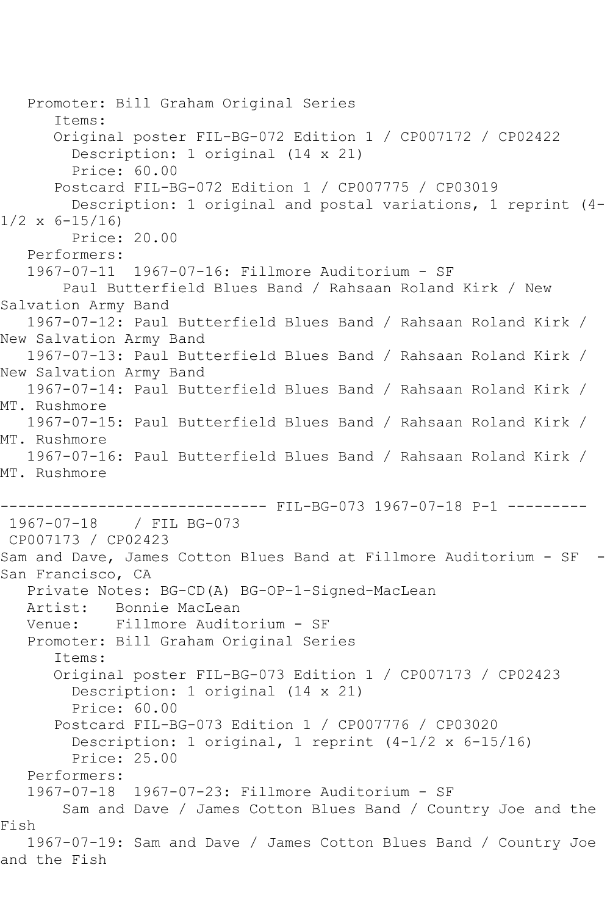```
 Promoter: Bill Graham Original Series
       Items:
       Original poster FIL-BG-072 Edition 1 / CP007172 / CP02422
         Description: 1 original (14 x 21)
         Price: 60.00
       Postcard FIL-BG-072 Edition 1 / CP007775 / CP03019
         Description: 1 original and postal variations, 1 reprint (4-
1/2 \times 6 - 15/16 Price: 20.00
    Performers:
    1967-07-11 1967-07-16: Fillmore Auditorium - SF
        Paul Butterfield Blues Band / Rahsaan Roland Kirk / New 
Salvation Army Band
    1967-07-12: Paul Butterfield Blues Band / Rahsaan Roland Kirk / 
New Salvation Army Band
    1967-07-13: Paul Butterfield Blues Band / Rahsaan Roland Kirk / 
New Salvation Army Band
   1967-07-14: Paul Butterfield Blues Band / Rahsaan Roland Kirk / 
MT. Rushmore
    1967-07-15: Paul Butterfield Blues Band / Rahsaan Roland Kirk / 
MT. Rushmore
    1967-07-16: Paul Butterfield Blues Band / Rahsaan Roland Kirk / 
MT. Rushmore
                    ------------------------------ FIL-BG-073 1967-07-18 P-1 ---------
1967-07-18 / FIL BG-073
CP007173 / CP02423
Sam and Dave, James Cotton Blues Band at Fillmore Auditorium - SF -
San Francisco, CA
    Private Notes: BG-CD(A) BG-OP-1-Signed-MacLean
   Artist: Bonnie MacLean
   Venue: Fillmore Auditorium - SF
    Promoter: Bill Graham Original Series
       Items:
       Original poster FIL-BG-073 Edition 1 / CP007173 / CP02423
         Description: 1 original (14 x 21)
         Price: 60.00
       Postcard FIL-BG-073 Edition 1 / CP007776 / CP03020
         Description: 1 original, 1 reprint (4-1/2 x 6-15/16)
         Price: 25.00
   Performers:
    1967-07-18 1967-07-23: Fillmore Auditorium - SF
        Sam and Dave / James Cotton Blues Band / Country Joe and the 
Fish
    1967-07-19: Sam and Dave / James Cotton Blues Band / Country Joe 
and the Fish
```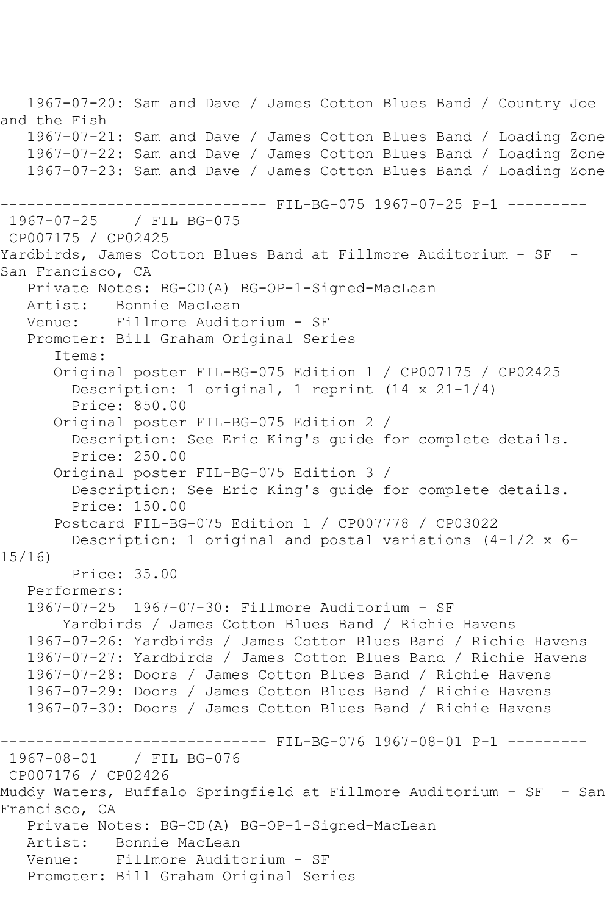1967-07-20: Sam and Dave / James Cotton Blues Band / Country Joe and the Fish 1967-07-21: Sam and Dave / James Cotton Blues Band / Loading Zone 1967-07-22: Sam and Dave / James Cotton Blues Band / Loading Zone 1967-07-23: Sam and Dave / James Cotton Blues Band / Loading Zone ------------------------------ FIL-BG-075 1967-07-25 P-1 --------- 1967-07-25 / FIL BG-075 CP007175 / CP02425 Yardbirds, James Cotton Blues Band at Fillmore Auditorium - SF - San Francisco, CA Private Notes: BG-CD(A) BG-OP-1-Signed-MacLean Artist: Bonnie MacLean Venue: Fillmore Auditorium - SF Promoter: Bill Graham Original Series Items: Original poster FIL-BG-075 Edition 1 / CP007175 / CP02425 Description: 1 original, 1 reprint (14 x 21-1/4) Price: 850.00 Original poster FIL-BG-075 Edition 2 / Description: See Eric King's guide for complete details. Price: 250.00 Original poster FIL-BG-075 Edition 3 / Description: See Eric King's guide for complete details. Price: 150.00 Postcard FIL-BG-075 Edition 1 / CP007778 / CP03022 Description: 1 original and postal variations (4-1/2 x 6- 15/16) Price: 35.00 Performers: 1967-07-25 1967-07-30: Fillmore Auditorium - SF Yardbirds / James Cotton Blues Band / Richie Havens 1967-07-26: Yardbirds / James Cotton Blues Band / Richie Havens 1967-07-27: Yardbirds / James Cotton Blues Band / Richie Havens 1967-07-28: Doors / James Cotton Blues Band / Richie Havens 1967-07-29: Doors / James Cotton Blues Band / Richie Havens 1967-07-30: Doors / James Cotton Blues Band / Richie Havens ------------------------------ FIL-BG-076 1967-08-01 P-1 --------- 1967-08-01 / FIL BG-076 CP007176 / CP02426 Muddy Waters, Buffalo Springfield at Fillmore Auditorium - SF - San Francisco, CA Private Notes: BG-CD(A) BG-OP-1-Signed-MacLean Artist: Bonnie MacLean Venue: Fillmore Auditorium - SF Promoter: Bill Graham Original Series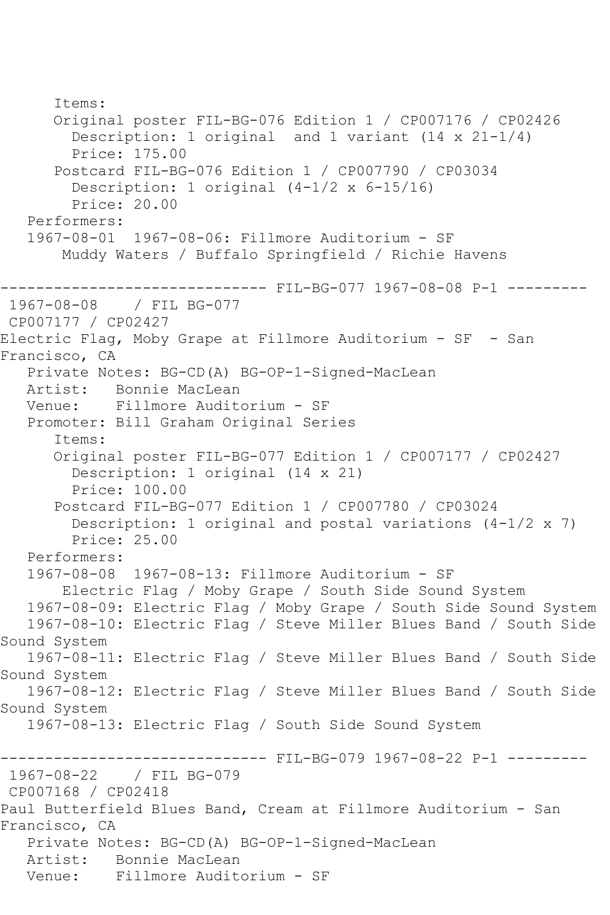Items: Original poster FIL-BG-076 Edition 1 / CP007176 / CP02426 Description: 1 original and 1 variant (14 x 21-1/4) Price: 175.00 Postcard FIL-BG-076 Edition 1 / CP007790 / CP03034 Description: 1 original (4-1/2 x 6-15/16) Price: 20.00 Performers: 1967-08-01 1967-08-06: Fillmore Auditorium - SF Muddy Waters / Buffalo Springfield / Richie Havens ------------------------------ FIL-BG-077 1967-08-08 P-1 --------- 1967-08-08 / FIL BG-077 CP007177 / CP02427 Electric Flag, Moby Grape at Fillmore Auditorium - SF - San Francisco, CA Private Notes: BG-CD(A) BG-OP-1-Signed-MacLean Artist: Bonnie MacLean<br>Venue: Fillmore Audite Venue: Fillmore Auditorium - SF Promoter: Bill Graham Original Series Items: Original poster FIL-BG-077 Edition 1 / CP007177 / CP02427 Description: 1 original (14 x 21) Price: 100.00 Postcard FIL-BG-077 Edition 1 / CP007780 / CP03024 Description: 1 original and postal variations  $(4-1/2 \times 7)$  Price: 25.00 Performers: 1967-08-08 1967-08-13: Fillmore Auditorium - SF Electric Flag / Moby Grape / South Side Sound System 1967-08-09: Electric Flag / Moby Grape / South Side Sound System 1967-08-10: Electric Flag / Steve Miller Blues Band / South Side Sound System 1967-08-11: Electric Flag / Steve Miller Blues Band / South Side Sound System 1967-08-12: Electric Flag / Steve Miller Blues Band / South Side Sound System 1967-08-13: Electric Flag / South Side Sound System ------------------------------- FIL-BG-079 1967-08-22 P-1 ----------<br>1967-08-22 / FIL BG-079 / FIL BG-079 CP007168 / CP02418 Paul Butterfield Blues Band, Cream at Fillmore Auditorium - San Francisco, CA Private Notes: BG-CD(A) BG-OP-1-Signed-MacLean Artist: Bonnie MacLean Venue: Fillmore Auditorium - SF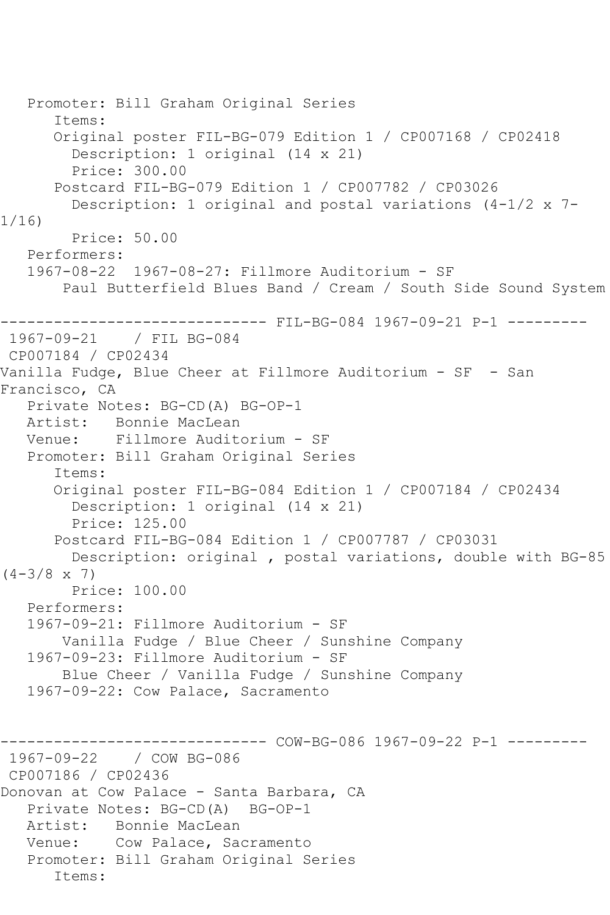```
 Promoter: Bill Graham Original Series
       Items:
       Original poster FIL-BG-079 Edition 1 / CP007168 / CP02418
         Description: 1 original (14 x 21)
         Price: 300.00
       Postcard FIL-BG-079 Edition 1 / CP007782 / CP03026
         Description: 1 original and postal variations (4-1/2 x 7-
1/16)
         Price: 50.00
   Performers:
   1967-08-22 1967-08-27: Fillmore Auditorium - SF
        Paul Butterfield Blues Band / Cream / South Side Sound System
------------------------------ FIL-BG-084 1967-09-21 P-1 ---------
1967-09-21 / FIL BG-084
CP007184 / CP02434
Vanilla Fudge, Blue Cheer at Fillmore Auditorium - SF - San
Francisco, CA
   Private Notes: BG-CD(A) BG-OP-1
   Artist: Bonnie MacLean
   Venue: Fillmore Auditorium - SF
   Promoter: Bill Graham Original Series
       Items:
       Original poster FIL-BG-084 Edition 1 / CP007184 / CP02434
         Description: 1 original (14 x 21)
         Price: 125.00
       Postcard FIL-BG-084 Edition 1 / CP007787 / CP03031
        Description: original , postal variations, double with BG-85 
(4-3/8 \times 7) Price: 100.00
   Performers:
   1967-09-21: Fillmore Auditorium - SF
        Vanilla Fudge / Blue Cheer / Sunshine Company
   1967-09-23: Fillmore Auditorium - SF
        Blue Cheer / Vanilla Fudge / Sunshine Company
   1967-09-22: Cow Palace, Sacramento
------------------------------ COW-BG-086 1967-09-22 P-1 ---------
1967-09-22 / COW BG-086
CP007186 / CP02436
Donovan at Cow Palace - Santa Barbara, CA
   Private Notes: BG-CD(A) BG-OP-1
   Artist: Bonnie MacLean
   Venue: Cow Palace, Sacramento
   Promoter: Bill Graham Original Series
       Items:
```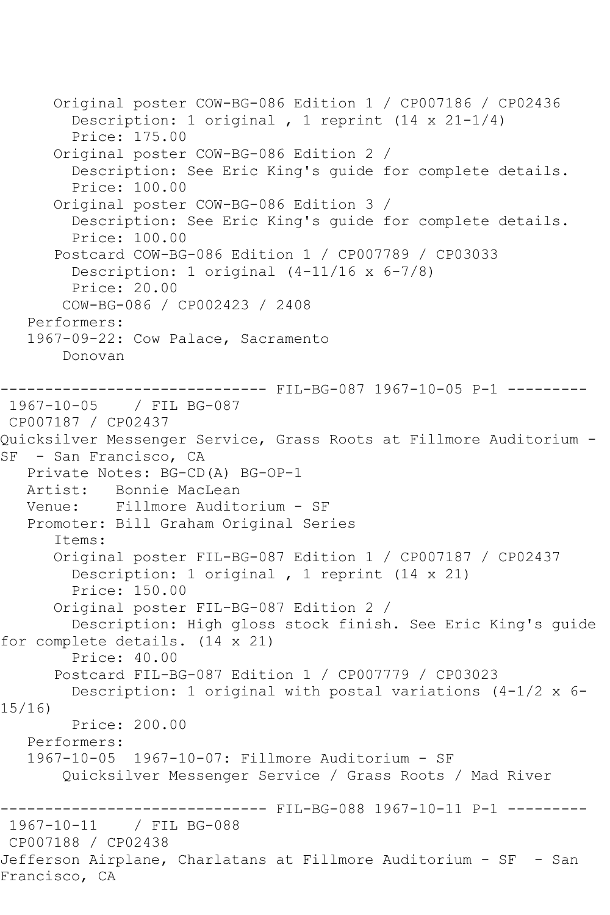```
 Original poster COW-BG-086 Edition 1 / CP007186 / CP02436
         Description: 1 original , 1 reprint (14 x 21-1/4)
         Price: 175.00
       Original poster COW-BG-086 Edition 2 / 
         Description: See Eric King's guide for complete details.
         Price: 100.00
       Original poster COW-BG-086 Edition 3 / 
         Description: See Eric King's guide for complete details.
         Price: 100.00
       Postcard COW-BG-086 Edition 1 / CP007789 / CP03033
         Description: 1 original (4-11/16 x 6-7/8)
         Price: 20.00
        COW-BG-086 / CP002423 / 2408
    Performers:
    1967-09-22: Cow Palace, Sacramento
        Donovan
------------------------------ FIL-BG-087 1967-10-05 P-1 ---------
1967-10-05 / FIL BG-087
CP007187 / CP02437
Quicksilver Messenger Service, Grass Roots at Fillmore Auditorium -
SF - San Francisco, CA
    Private Notes: BG-CD(A) BG-OP-1
   Artist: Bonnie MacLean
   Venue: Fillmore Auditorium - SF
    Promoter: Bill Graham Original Series
       Items:
       Original poster FIL-BG-087 Edition 1 / CP007187 / CP02437
         Description: 1 original , 1 reprint (14 x 21)
         Price: 150.00
       Original poster FIL-BG-087 Edition 2 / 
         Description: High gloss stock finish. See Eric King's guide 
for complete details. (14 x 21)
         Price: 40.00
       Postcard FIL-BG-087 Edition 1 / CP007779 / CP03023
         Description: 1 original with postal variations (4-1/2 x 6-
15/16)
         Price: 200.00
    Performers:
    1967-10-05 1967-10-07: Fillmore Auditorium - SF
        Quicksilver Messenger Service / Grass Roots / Mad River
------------------------------ FIL-BG-088 1967-10-11 P-1 ---------<br>1967-10-11   / FIL BG-088
               1967-10-11 / FIL BG-088
CP007188 / CP02438
Jefferson Airplane, Charlatans at Fillmore Auditorium - SF - San 
Francisco, CA
```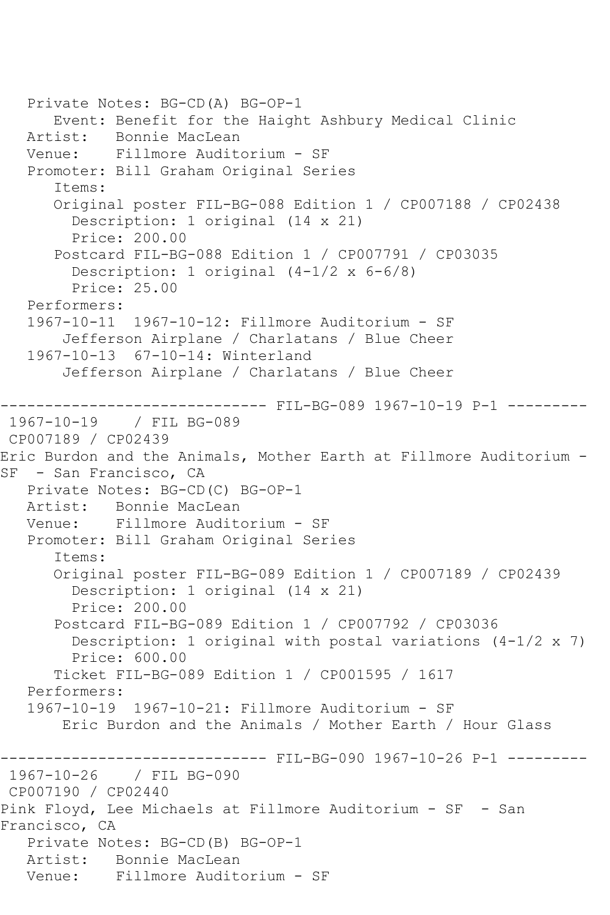```
 Private Notes: BG-CD(A) BG-OP-1
       Event: Benefit for the Haight Ashbury Medical Clinic
   Artist: Bonnie MacLean
   Venue: Fillmore Auditorium - SF
   Promoter: Bill Graham Original Series
       Items:
      Original poster FIL-BG-088 Edition 1 / CP007188 / CP02438
         Description: 1 original (14 x 21)
         Price: 200.00
       Postcard FIL-BG-088 Edition 1 / CP007791 / CP03035
         Description: 1 original (4-1/2 x 6-6/8)
         Price: 25.00
   Performers:
   1967-10-11 1967-10-12: Fillmore Auditorium - SF
        Jefferson Airplane / Charlatans / Blue Cheer
   1967-10-13 67-10-14: Winterland
        Jefferson Airplane / Charlatans / Blue Cheer
         ------------------------------ FIL-BG-089 1967-10-19 P-1 ---------
1967-10-19 / FIL BG-089
CP007189 / CP02439
Eric Burdon and the Animals, Mother Earth at Fillmore Auditorium -
SF - San Francisco, CA
   Private Notes: BG-CD(C) BG-OP-1
  Artist: Bonnie MacLean<br>Venue: Fillmore Audit
            Fillmore Auditorium - SF
   Promoter: Bill Graham Original Series
       Items:
       Original poster FIL-BG-089 Edition 1 / CP007189 / CP02439
         Description: 1 original (14 x 21)
         Price: 200.00
       Postcard FIL-BG-089 Edition 1 / CP007792 / CP03036
        Description: 1 original with postal variations (4-1/2 \times 7) Price: 600.00
       Ticket FIL-BG-089 Edition 1 / CP001595 / 1617
   Performers:
   1967-10-19 1967-10-21: Fillmore Auditorium - SF
        Eric Burdon and the Animals / Mother Earth / Hour Glass
------------------------------ FIL-BG-090 1967-10-26 P-1 ---------
1967-10-26 / FIL BG-090
CP007190 / CP02440
Pink Floyd, Lee Michaels at Fillmore Auditorium - SF - San 
Francisco, CA
   Private Notes: BG-CD(B) BG-OP-1
   Artist: Bonnie MacLean
   Venue: Fillmore Auditorium - SF
```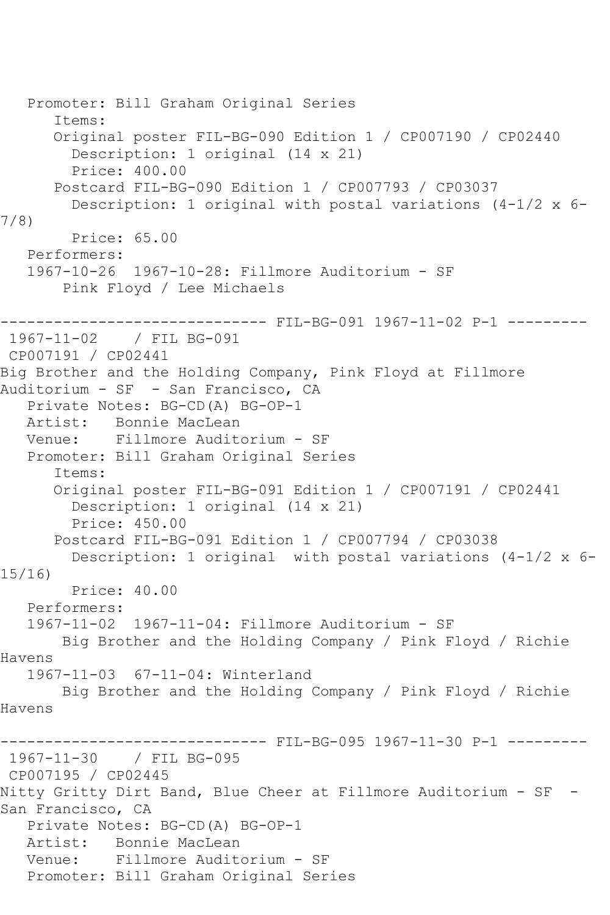```
 Promoter: Bill Graham Original Series
       Items:
      Original poster FIL-BG-090 Edition 1 / CP007190 / CP02440
         Description: 1 original (14 x 21)
         Price: 400.00
      Postcard FIL-BG-090 Edition 1 / CP007793 / CP03037
         Description: 1 original with postal variations (4-1/2 x 6-
7/8)
         Price: 65.00
   Performers:
   1967-10-26 1967-10-28: Fillmore Auditorium - SF
        Pink Floyd / Lee Michaels
------------------------------ FIL-BG-091 1967-11-02 P-1 ---------
1967-11-02 / FIL BG-091
CP007191 / CP02441
Big Brother and the Holding Company, Pink Floyd at Fillmore 
Auditorium - SF - San Francisco, CA
   Private Notes: BG-CD(A) BG-OP-1
   Artist: Bonnie MacLean
   Venue: Fillmore Auditorium - SF
   Promoter: Bill Graham Original Series
      Items:
      Original poster FIL-BG-091 Edition 1 / CP007191 / CP02441
         Description: 1 original (14 x 21)
         Price: 450.00
      Postcard FIL-BG-091 Edition 1 / CP007794 / CP03038
        Description: 1 original with postal variations (4-1/2 x 6-
15/16)
        Price: 40.00
   Performers:
   1967-11-02 1967-11-04: Fillmore Auditorium - SF
       Big Brother and the Holding Company / Pink Floyd / Richie 
Havens
   1967-11-03 67-11-04: Winterland
       Big Brother and the Holding Company / Pink Floyd / Richie 
Havens
------------------------------ FIL-BG-095 1967-11-30 P-1 ---------
1967-11-30 / FIL BG-095
CP007195 / CP02445
Nitty Gritty Dirt Band, Blue Cheer at Fillmore Auditorium - SF -
San Francisco, CA
   Private Notes: BG-CD(A) BG-OP-1
   Artist: Bonnie MacLean
   Venue: Fillmore Auditorium - SF
   Promoter: Bill Graham Original Series
```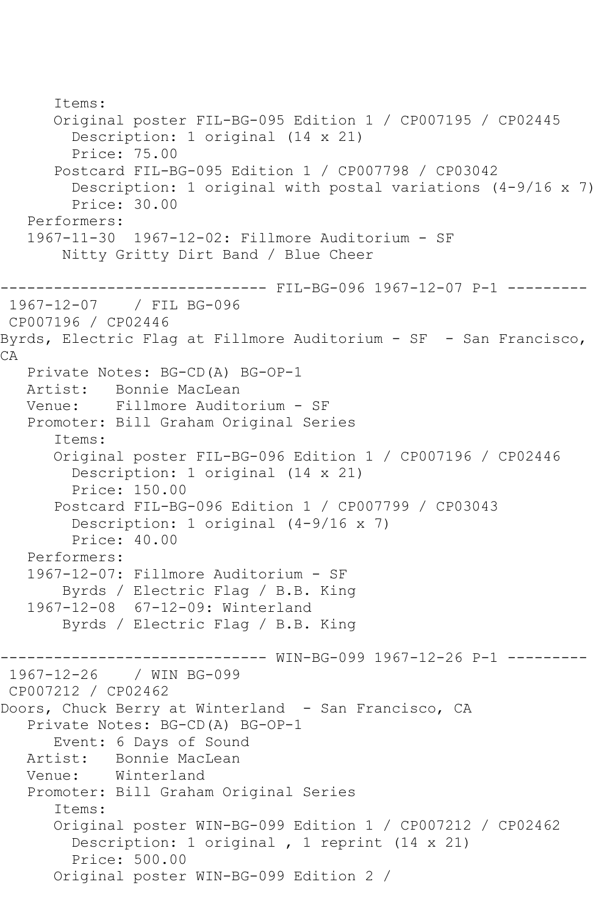```
 Items:
       Original poster FIL-BG-095 Edition 1 / CP007195 / CP02445
         Description: 1 original (14 x 21)
         Price: 75.00
       Postcard FIL-BG-095 Edition 1 / CP007798 / CP03042
         Description: 1 original with postal variations (4-9/16 x 7)
         Price: 30.00
   Performers:
    1967-11-30 1967-12-02: Fillmore Auditorium - SF
        Nitty Gritty Dirt Band / Blue Cheer
          ------------------------------ FIL-BG-096 1967-12-07 P-1 ---------
1967-12-07 / FIL BG-096
CP007196 / CP02446
Byrds, Electric Flag at Fillmore Auditorium - SF - San Francisco, 
CA
   Private Notes: BG-CD(A) BG-OP-1
  Artist: Bonnie MacLean<br>Venue: Fillmore Audit
            Venue: Fillmore Auditorium - SF
   Promoter: Bill Graham Original Series
       Items:
       Original poster FIL-BG-096 Edition 1 / CP007196 / CP02446
         Description: 1 original (14 x 21)
         Price: 150.00
       Postcard FIL-BG-096 Edition 1 / CP007799 / CP03043
         Description: 1 original (4-9/16 x 7)
         Price: 40.00
    Performers:
    1967-12-07: Fillmore Auditorium - SF
        Byrds / Electric Flag / B.B. King
    1967-12-08 67-12-09: Winterland
        Byrds / Electric Flag / B.B. King
------------------------------ WIN-BG-099 1967-12-26 P-1 ---------
1967-12-26 / WIN BG-099
CP007212 / CP02462
Doors, Chuck Berry at Winterland - San Francisco, CA
    Private Notes: BG-CD(A) BG-OP-1
   Event: 6 Days of Sound<br>Artist: Bonnie MacLean
  Artist: Bonnie MacLean<br>Venue: Winterland
           Winterland
   Promoter: Bill Graham Original Series
       Items:
       Original poster WIN-BG-099 Edition 1 / CP007212 / CP02462
         Description: 1 original , 1 reprint (14 x 21)
         Price: 500.00
       Original poster WIN-BG-099 Edition 2 /
```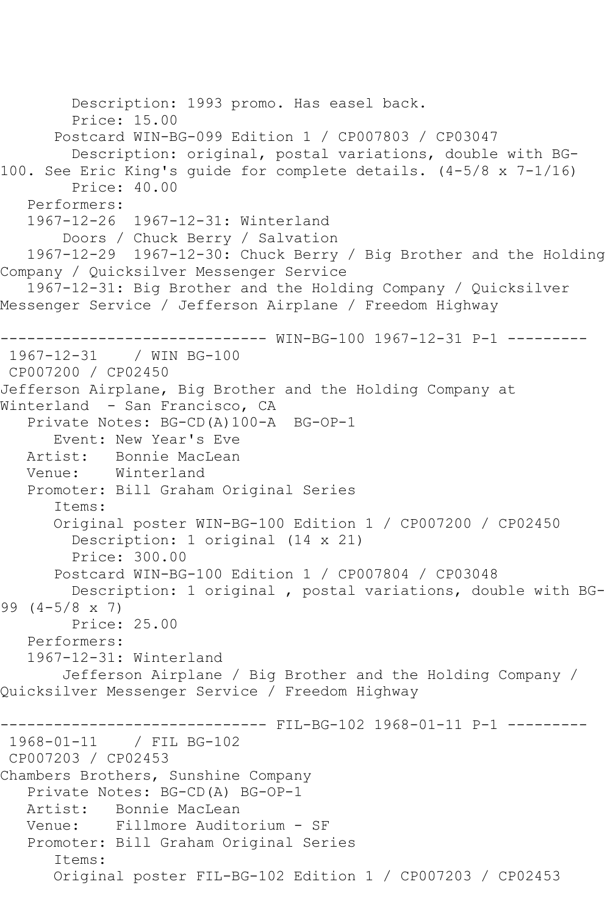Description: 1993 promo. Has easel back. Price: 15.00 Postcard WIN-BG-099 Edition 1 / CP007803 / CP03047 Description: original, postal variations, double with BG-100. See Eric King's guide for complete details. (4-5/8 x 7-1/16) Price: 40.00 Performers: 1967-12-26 1967-12-31: Winterland Doors / Chuck Berry / Salvation 1967-12-29 1967-12-30: Chuck Berry / Big Brother and the Holding Company / Quicksilver Messenger Service 1967-12-31: Big Brother and the Holding Company / Quicksilver Messenger Service / Jefferson Airplane / Freedom Highway ------------------------------ WIN-BG-100 1967-12-31 P-1 --------- 1967-12-31 / WIN BG-100 CP007200 / CP02450 Jefferson Airplane, Big Brother and the Holding Company at Winterland - San Francisco, CA Private Notes: BG-CD(A)100-A BG-OP-1 Event: New Year's Eve Artist: Bonnie MacLean Venue: Winterland Promoter: Bill Graham Original Series Items: Original poster WIN-BG-100 Edition 1 / CP007200 / CP02450 Description: 1 original (14 x 21) Price: 300.00 Postcard WIN-BG-100 Edition 1 / CP007804 / CP03048 Description: 1 original , postal variations, double with BG-99 (4-5/8 x 7) Price: 25.00 Performers: 1967-12-31: Winterland Jefferson Airplane / Big Brother and the Holding Company / Quicksilver Messenger Service / Freedom Highway ------------------------------ FIL-BG-102 1968-01-11 P-1 ----------<br>1968-01-11 / FIL BG-102 / FIL BG-102 CP007203 / CP02453 Chambers Brothers, Sunshine Company Private Notes: BG-CD(A) BG-OP-1 Artist: Bonnie MacLean<br>Venue: Fillmore Audit Fillmore Auditorium - SF Promoter: Bill Graham Original Series Items: Original poster FIL-BG-102 Edition 1 / CP007203 / CP02453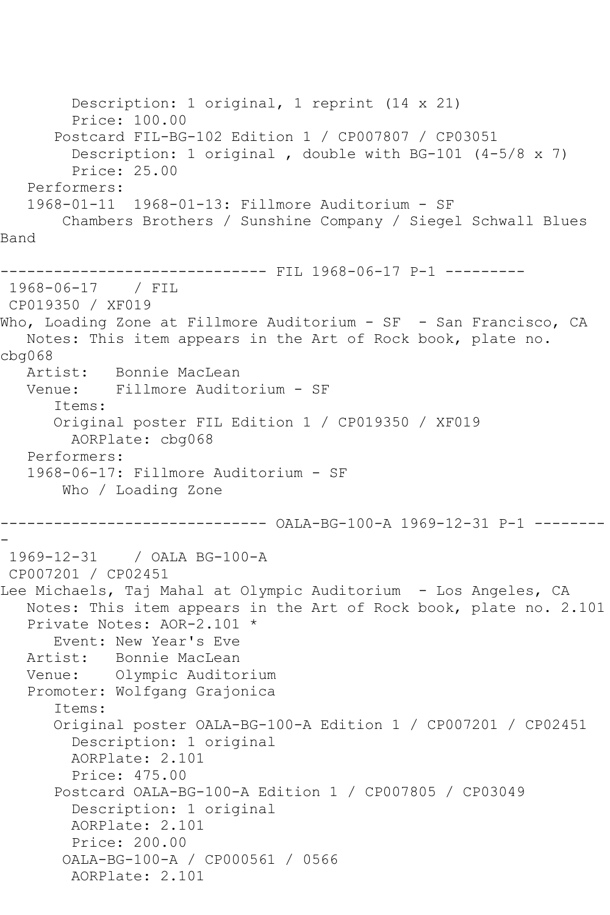Description: 1 original, 1 reprint (14 x 21) Price: 100.00 Postcard FIL-BG-102 Edition 1 / CP007807 / CP03051 Description: 1 original , double with BG-101 (4-5/8 x 7) Price: 25.00 Performers: 1968-01-11 1968-01-13: Fillmore Auditorium - SF Chambers Brothers / Sunshine Company / Siegel Schwall Blues Band ------------------------------ FIL 1968-06-17 P-1 --------- 1968-06-17 / FIL CP019350 / XF019 Who, Loading Zone at Fillmore Auditorium - SF - San Francisco, CA Notes: This item appears in the Art of Rock book, plate no. cbg068 Artist: Bonnie MacLean Venue: Fillmore Auditorium - SF Items: Original poster FIL Edition 1 / CP019350 / XF019 AORPlate: cbg068 Performers: 1968-06-17: Fillmore Auditorium - SF Who / Loading Zone ------------------------------ OALA-BG-100-A 1969-12-31 P-1 -------- - 1969-12-31 / OALA BG-100-A CP007201 / CP02451 Lee Michaels, Taj Mahal at Olympic Auditorium - Los Angeles, CA Notes: This item appears in the Art of Rock book, plate no. 2.101 Private Notes: AOR-2.101 \* Event: New Year's Eve<br>Artist: Bonnie MacLean Bonnie MacLean Venue: Olympic Auditorium Promoter: Wolfgang Grajonica Items: Original poster OALA-BG-100-A Edition 1 / CP007201 / CP02451 Description: 1 original AORPlate: 2.101 Price: 475.00 Postcard OALA-BG-100-A Edition 1 / CP007805 / CP03049 Description: 1 original AORPlate: 2.101 Price: 200.00 OALA-BG-100-A / CP000561 / 0566 AORPlate: 2.101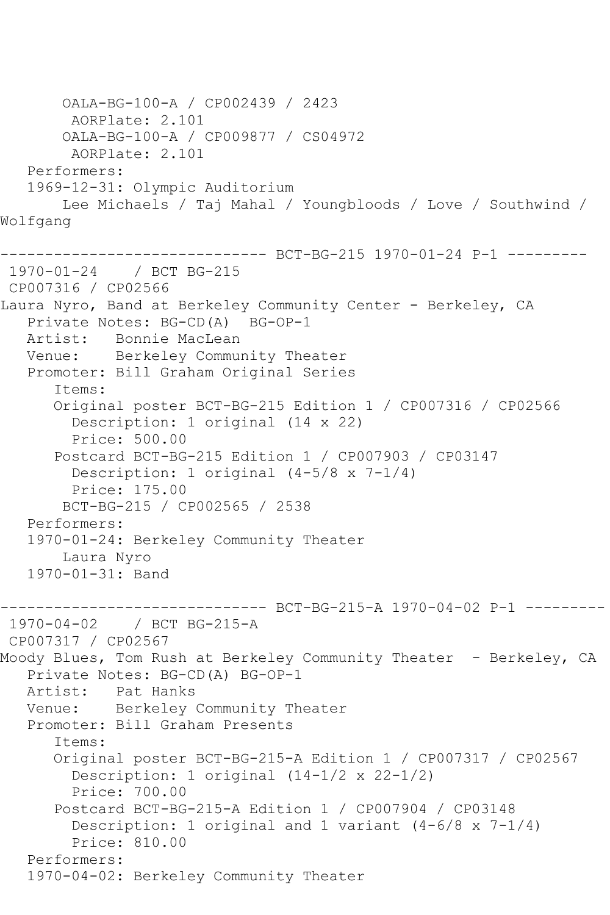```
 OALA-BG-100-A / CP002439 / 2423
         AORPlate: 2.101 
        OALA-BG-100-A / CP009877 / CS04972
         AORPlate: 2.101 
    Performers:
    1969-12-31: Olympic Auditorium
        Lee Michaels / Taj Mahal / Youngbloods / Love / Southwind / 
Wolfgang
        ------------------------------ BCT-BG-215 1970-01-24 P-1 ---------
1970-01-24 / BCT BG-215
CP007316 / CP02566
Laura Nyro, Band at Berkeley Community Center - Berkeley, CA
    Private Notes: BG-CD(A) BG-OP-1
   Artist: Bonnie MacLean
   Venue: Berkeley Community Theater
    Promoter: Bill Graham Original Series
       Items:
       Original poster BCT-BG-215 Edition 1 / CP007316 / CP02566
         Description: 1 original (14 x 22)
         Price: 500.00
       Postcard BCT-BG-215 Edition 1 / CP007903 / CP03147
        Description: 1 original (4-5/8 \times 7-1/4) Price: 175.00
        BCT-BG-215 / CP002565 / 2538
    Performers:
    1970-01-24: Berkeley Community Theater
        Laura Nyro
    1970-01-31: Band
         ------------------------------ BCT-BG-215-A 1970-04-02 P-1 ---------
1970-04-02 / BCT BG-215-A
CP007317 / CP02567
Moody Blues, Tom Rush at Berkeley Community Theater - Berkeley, CA
    Private Notes: BG-CD(A) BG-OP-1
   Artist: Pat Hanks
   Venue: Berkeley Community Theater
    Promoter: Bill Graham Presents
       Items:
       Original poster BCT-BG-215-A Edition 1 / CP007317 / CP02567
         Description: 1 original (14-1/2 x 22-1/2)
         Price: 700.00
       Postcard BCT-BG-215-A Edition 1 / CP007904 / CP03148
         Description: 1 original and 1 variant (4-6/8 x 7-1/4)
         Price: 810.00
    Performers:
    1970-04-02: Berkeley Community Theater
```